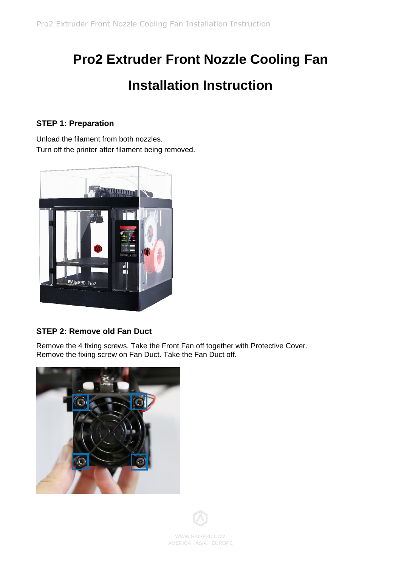# **Pro2 Extruder Front Nozzle Cooling Fan Installation Instruction**

### **STEP 1: Preparation**

Unload the filament from both nozzles. Turn off the printer after filament being removed.



## **STEP 2: Remove old Fan Duct**

Remove the 4 fixing screws. Take the Front Fan off together with Protective Cover. Remove the fixing screw on Fan Duct. Take the Fan Duct off.



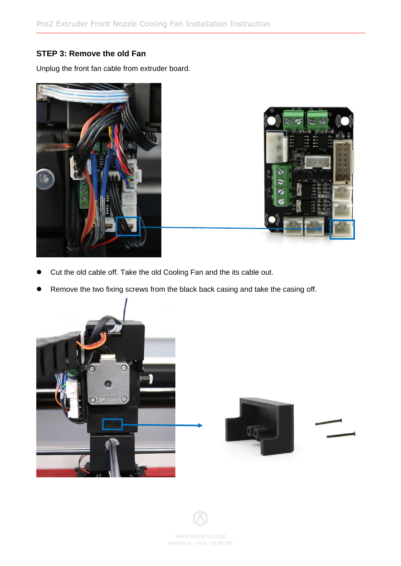#### **STEP 3: Remove the old Fan**

Unplug the front fan cable from extruder board.





- Cut the old cable off. Take the old Cooling Fan and the its cable out.
- ⚫ Remove the two fixing screws from the black back casing and take the casing off.



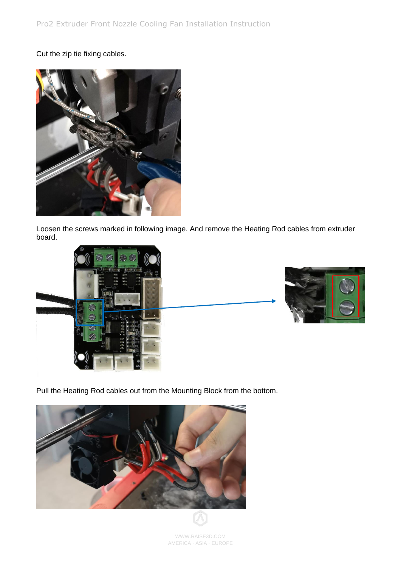#### Cut the zip tie fixing cables.



Loosen the screws marked in following image. And remove the Heating Rod cables from extruder board.





Pull the Heating Rod cables out from the Mounting Block from the bottom.



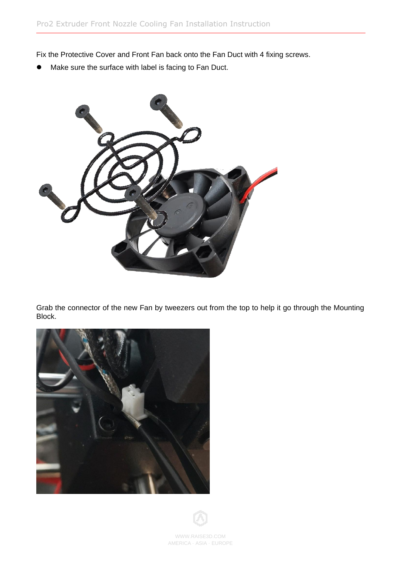Fix the Protective Cover and Front Fan back onto the Fan Duct with 4 fixing screws.

Make sure the surface with label is facing to Fan Duct.



Grab the connector of the new Fan by tweezers out from the top to help it go through the Mounting Block.



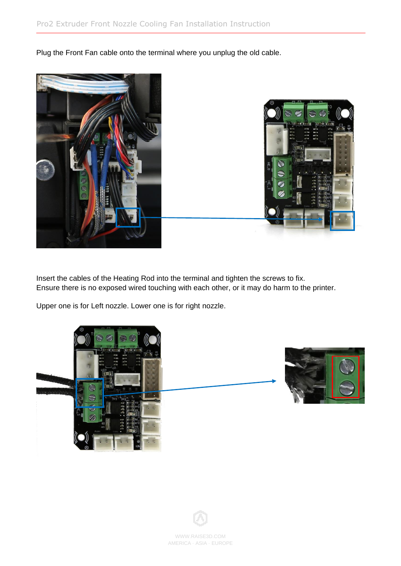Plug the Front Fan cable onto the terminal where you unplug the old cable.





Insert the cables of the Heating Rod into the terminal and tighten the screws to fix. Ensure there is no exposed wired touching with each other, or it may do harm to the printer.

Upper one is for Left nozzle. Lower one is for right nozzle.